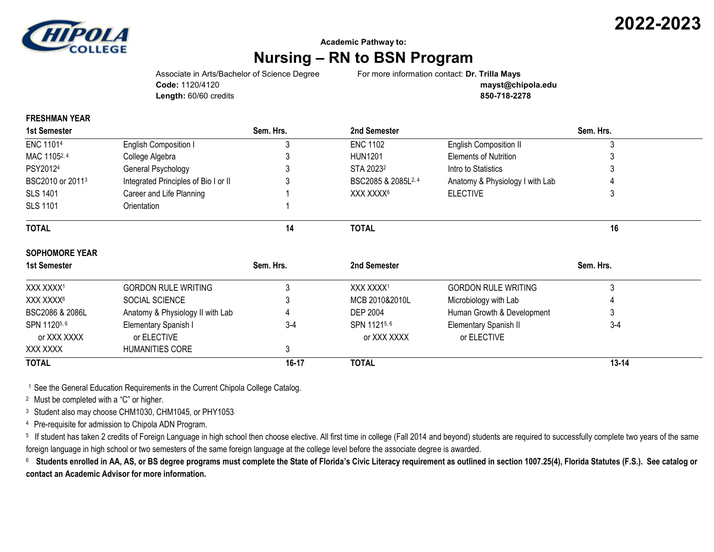

## **Academic Pathway to:**

## **Nursing – RN to BSN Program**

**Code:** 1120/4120 **mayst@chipola.edu Length:** 60/60 credits **850-718-2278**

Associate in Arts/Bachelor of Science Degree For more information contact: **Dr. Trilla Mays**

## **FRESHMAN YEAR**

| <b>1st Semester</b>          |                                      | Sem. Hrs. | 2nd Semester                    |                                 | Sem. Hrs. |  |
|------------------------------|--------------------------------------|-----------|---------------------------------|---------------------------------|-----------|--|
| ENC 11014                    | English Composition I                |           | <b>ENC 1102</b>                 | <b>English Composition II</b>   |           |  |
| MAC 11052, 4                 | College Algebra                      |           | <b>HUN1201</b>                  | <b>Elements of Nutrition</b>    |           |  |
| PSY20124                     | General Psychology                   |           | STA 2023 <sup>2</sup>           | Intro to Statistics             |           |  |
| BSC2010 or 2011 <sup>3</sup> | Integrated Principles of Bio I or II |           | BSC2085 & 2085L <sup>2, 4</sup> | Anatomy & Physiology I with Lab |           |  |
| <b>SLS 1401</b>              | Career and Life Planning             |           | XXX XXXX <sup>6</sup>           | <b>ELECTIVE</b>                 |           |  |
| <b>SLS 1101</b>              | Orientation                          |           |                                 |                                 |           |  |
| <b>TOTAL</b>                 |                                      | 14        | <b>TOTAL</b>                    |                                 | 16        |  |
| <b>SOPHOMORE YEAR</b>        |                                      |           |                                 |                                 |           |  |
| <b>1st Semester</b>          |                                      | Sem. Hrs. | 2nd Semester                    | Sem. Hrs.                       |           |  |
| XXX XXXX1                    | <b>GORDON RULE WRITING</b>           |           | XXX XXXX1                       | <b>GORDON RULE WRITING</b>      | 3         |  |
| XXX XXXX <sup>6</sup>        | SOCIAL SCIENCE                       |           | MCB 2010&2010L                  | Microbiology with Lab           |           |  |
| BSC2086 & 2086L              | Anatomy & Physiology II with Lab     |           | DEP 2004                        | Human Growth & Development      |           |  |
| SPN 11205, 6                 | Elementary Spanish I                 | $3-4$     | SPN 11215,6                     | Elementary Spanish II           | $3-4$     |  |
| or XXX XXXX                  | or ELECTIVE                          |           | or XXX XXXX                     | or ELECTIVE                     |           |  |
| XXX XXXX                     | HUMANITIES CORE                      | 3         |                                 |                                 |           |  |
| <b>TOTAL</b>                 |                                      | 16-17     | <b>TOTAL</b>                    |                                 | $13 - 14$ |  |

<sup>1</sup> See the General Education Requirements in the Current Chipola College Catalog.

<sup>2</sup> Must be completed with a "C" or higher.

<sup>3</sup> Student also may choose CHM1030, CHM1045, or PHY1053

<sup>4</sup> Pre-requisite for admission to Chipola ADN Program.

<sup>5</sup> If student has taken 2 credits of Foreign Language in high school then choose elective. All first time in college (Fall 2014 and beyond) students are required to successfully complete two years of the same foreign language in high school or two semesters of the same foreign language at the college level before the associate degree is awarded.

 $^6$  Students enrolled in AA, AS, or BS degree programs must complete the State of Florida's Civic Literacy requirement as outlined in section 1007.25(4), Florida Statutes (F.S.). See catalog or **contact an Academic Advisor for more information.**